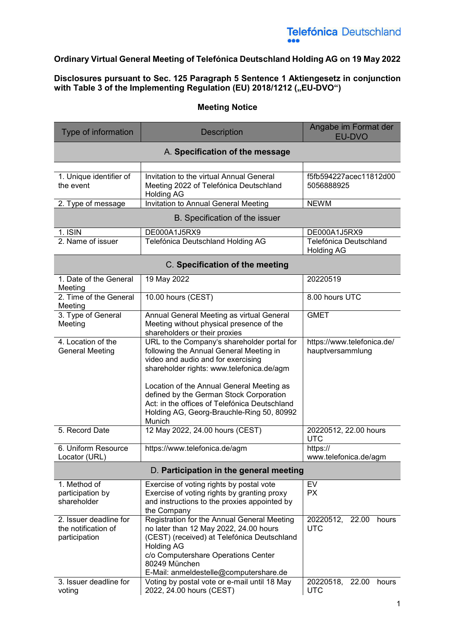#### **Ordinary Virtual General Meeting of Telefónica Deutschland Holding AG on 19 May 2022**

#### **Disclosures pursuant to Sec. 125 Paragraph 5 Sentence 1 Aktiengesetz in conjunction**  with Table 3 of the Implementing Regulation (EU) 2018/1212 ("EU-DVO")

#### **Meeting Notice**

| Type of information                                            | <b>Description</b>                                                                                                                                                                                                                                                                                                                                                        | Angabe im Format der<br>EU-DVO                 |
|----------------------------------------------------------------|---------------------------------------------------------------------------------------------------------------------------------------------------------------------------------------------------------------------------------------------------------------------------------------------------------------------------------------------------------------------------|------------------------------------------------|
|                                                                | A. Specification of the message                                                                                                                                                                                                                                                                                                                                           |                                                |
| 1. Unique identifier of<br>the event                           | Invitation to the virtual Annual General<br>Meeting 2022 of Telefónica Deutschland<br><b>Holding AG</b>                                                                                                                                                                                                                                                                   | f5fb594227acec11812d00<br>5056888925           |
| 2. Type of message                                             | Invitation to Annual General Meeting                                                                                                                                                                                                                                                                                                                                      | <b>NEWM</b>                                    |
|                                                                | B. Specification of the issuer                                                                                                                                                                                                                                                                                                                                            |                                                |
| 1. ISIN                                                        | DE000A1J5RX9                                                                                                                                                                                                                                                                                                                                                              | DE000A1J5RX9                                   |
| 2. Name of issuer                                              | Telefónica Deutschland Holding AG                                                                                                                                                                                                                                                                                                                                         | Telefónica Deutschland<br><b>Holding AG</b>    |
|                                                                | C. Specification of the meeting                                                                                                                                                                                                                                                                                                                                           |                                                |
| 1. Date of the General<br>Meeting                              | 19 May 2022                                                                                                                                                                                                                                                                                                                                                               | 20220519                                       |
| 2. Time of the General<br>Meeting                              | 10.00 hours (CEST)                                                                                                                                                                                                                                                                                                                                                        | 8.00 hours UTC                                 |
| 3. Type of General<br>Meeting                                  | Annual General Meeting as virtual General<br>Meeting without physical presence of the<br>shareholders or their proxies                                                                                                                                                                                                                                                    | <b>GMET</b>                                    |
| 4. Location of the<br><b>General Meeting</b>                   | URL to the Company's shareholder portal for<br>following the Annual General Meeting in<br>video and audio and for exercising<br>shareholder rights: www.telefonica.de/agm<br>Location of the Annual General Meeting as<br>defined by the German Stock Corporation<br>Act: in the offices of Telefónica Deutschland<br>Holding AG, Georg-Brauchle-Ring 50, 80992<br>Munich | https://www.telefonica.de/<br>hauptversammlung |
| 5. Record Date                                                 | 12 May 2022, 24.00 hours (CEST)                                                                                                                                                                                                                                                                                                                                           | 20220512, 22.00 hours<br><b>UTC</b>            |
| 6. Uniform Resource<br>Locator (URL)                           | https://www.telefonica.de/agm                                                                                                                                                                                                                                                                                                                                             | https://<br>www.telefonica.de/agm              |
|                                                                | D. Participation in the general meeting                                                                                                                                                                                                                                                                                                                                   |                                                |
| 1. Method of<br>participation by<br>shareholder                | Exercise of voting rights by postal vote<br>Exercise of voting rights by granting proxy<br>and instructions to the proxies appointed by<br>the Company                                                                                                                                                                                                                    | EV<br><b>PX</b>                                |
| 2. Issuer deadline for<br>the notification of<br>participation | Registration for the Annual General Meeting<br>no later than 12 May 2022, 24.00 hours<br>(CEST) (received) at Telefónica Deutschland<br><b>Holding AG</b><br>c/o Computershare Operations Center<br>80249 München<br>E-Mail: anmeldestelle@computershare.de                                                                                                               | 20220512, 22.00<br>hours<br><b>UTC</b>         |
| 3. Issuer deadline for<br>voting                               | Voting by postal vote or e-mail until 18 May<br>2022, 24.00 hours (CEST)                                                                                                                                                                                                                                                                                                  | 20220518,<br>22.00<br>hours<br><b>UTC</b>      |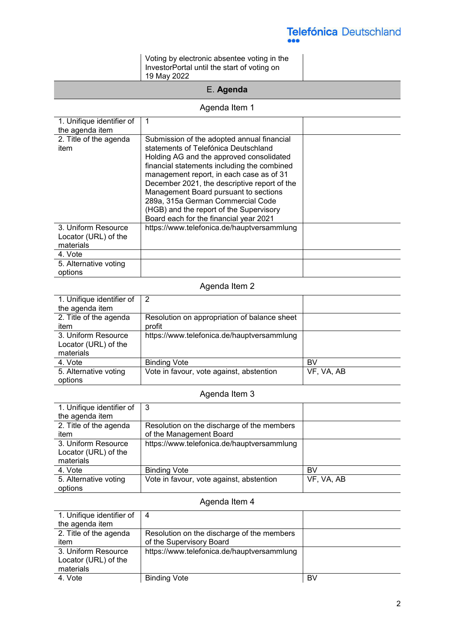Voting by electronic absentee voting in the InvestorPortal until the start of voting on 19 May 2022

### E. **Agenda**

#### Agenda Item 1

| 1. Unifique identifier of<br>the agenda item             |                                                                                                                                                                                                                                                                                                                                                                                                                                              |  |
|----------------------------------------------------------|----------------------------------------------------------------------------------------------------------------------------------------------------------------------------------------------------------------------------------------------------------------------------------------------------------------------------------------------------------------------------------------------------------------------------------------------|--|
| 2. Title of the agenda<br>item                           | Submission of the adopted annual financial<br>statements of Telefónica Deutschland<br>Holding AG and the approved consolidated<br>financial statements including the combined<br>management report, in each case as of 31<br>December 2021, the descriptive report of the<br>Management Board pursuant to sections<br>289a, 315a German Commercial Code<br>(HGB) and the report of the Supervisory<br>Board each for the financial year 2021 |  |
| 3. Uniform Resource<br>Locator (URL) of the<br>materials | https://www.telefonica.de/hauptversammlung                                                                                                                                                                                                                                                                                                                                                                                                   |  |
| 4. Vote                                                  |                                                                                                                                                                                                                                                                                                                                                                                                                                              |  |
| 5. Alternative voting<br>options                         |                                                                                                                                                                                                                                                                                                                                                                                                                                              |  |

#### Agenda Item 2

| 1. Unifique identifier of | 2                                            |            |
|---------------------------|----------------------------------------------|------------|
| the agenda item           |                                              |            |
| 2. Title of the agenda    | Resolution on appropriation of balance sheet |            |
| item                      | profit                                       |            |
| 3. Uniform Resource       | https://www.telefonica.de/hauptversammlung   |            |
| Locator (URL) of the      |                                              |            |
| materials                 |                                              |            |
| 4. Vote                   | <b>Binding Vote</b>                          | BV         |
| 5. Alternative voting     | Vote in favour, vote against, abstention     | VF, VA, AB |
| options                   |                                              |            |

#### Agenda Item 3

| 1. Unifique identifier of                                | -3                                         |            |
|----------------------------------------------------------|--------------------------------------------|------------|
| the agenda item                                          |                                            |            |
| 2. Title of the agenda                                   | Resolution on the discharge of the members |            |
| item                                                     | of the Management Board                    |            |
| 3. Uniform Resource<br>Locator (URL) of the<br>materials | https://www.telefonica.de/hauptversammlung |            |
| 4. Vote                                                  | <b>Binding Vote</b>                        | BV         |
| 5. Alternative voting<br>options                         | Vote in favour, vote against, abstention   | VF, VA, AB |

### Agenda Item 4

| 1. Unifique identifier of | 4                                          |    |
|---------------------------|--------------------------------------------|----|
| the agenda item           |                                            |    |
| 2. Title of the agenda    | Resolution on the discharge of the members |    |
| item                      | of the Supervisory Board                   |    |
| 3. Uniform Resource       | https://www.telefonica.de/hauptversammlung |    |
| Locator (URL) of the      |                                            |    |
| materials                 |                                            |    |
| 4. Vote                   | <b>Binding Vote</b>                        | BV |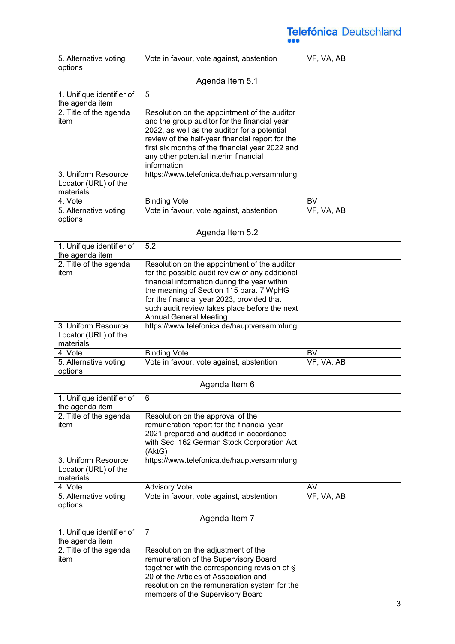| 5. Alternative voting<br>options | Vote in favour, vote against, abstention | VF, VA, AB |
|----------------------------------|------------------------------------------|------------|
| Agenda Item 5.1                  |                                          |            |

| Aydilud Ildiil J. I       |                                                  |            |
|---------------------------|--------------------------------------------------|------------|
| 1. Unifique identifier of | 5                                                |            |
| the agenda item           |                                                  |            |
| 2. Title of the agenda    | Resolution on the appointment of the auditor     |            |
| item                      | and the group auditor for the financial year     |            |
|                           | 2022, as well as the auditor for a potential     |            |
|                           | review of the half-year financial report for the |            |
|                           | first six months of the financial year 2022 and  |            |
|                           | any other potential interim financial            |            |
|                           | information                                      |            |
| 3. Uniform Resource       | https://www.telefonica.de/hauptversammlung       |            |
| Locator (URL) of the      |                                                  |            |
| materials                 |                                                  |            |
| 4. Vote                   | <b>Binding Vote</b>                              | BV         |
| 5. Alternative voting     | Vote in favour, vote against, abstention         | VF, VA, AB |
| options                   |                                                  |            |

### Agenda Item 5.2

| 1. Unifique identifier of                                | 5.2                                                                                                                                                                                                                                                                                                                        |            |
|----------------------------------------------------------|----------------------------------------------------------------------------------------------------------------------------------------------------------------------------------------------------------------------------------------------------------------------------------------------------------------------------|------------|
| the agenda item                                          |                                                                                                                                                                                                                                                                                                                            |            |
| 2. Title of the agenda<br>item                           | Resolution on the appointment of the auditor<br>for the possible audit review of any additional<br>financial information during the year within<br>the meaning of Section 115 para. 7 WpHG<br>for the financial year 2023, provided that<br>such audit review takes place before the next<br><b>Annual General Meeting</b> |            |
| 3. Uniform Resource<br>Locator (URL) of the<br>materials | https://www.telefonica.de/hauptversammlung                                                                                                                                                                                                                                                                                 |            |
| 4. Vote                                                  | <b>Binding Vote</b>                                                                                                                                                                                                                                                                                                        | BV         |
| 5. Alternative voting<br>options                         | Vote in favour, vote against, abstention                                                                                                                                                                                                                                                                                   | VF, VA, AB |

### Agenda Item 6

| 1. Unifique identifier of<br>the agenda item             | 6                                                                                                                                                                                  |            |
|----------------------------------------------------------|------------------------------------------------------------------------------------------------------------------------------------------------------------------------------------|------------|
| 2. Title of the agenda<br>item                           | Resolution on the approval of the<br>remuneration report for the financial year<br>2021 prepared and audited in accordance<br>with Sec. 162 German Stock Corporation Act<br>(AktG) |            |
| 3. Uniform Resource<br>Locator (URL) of the<br>materials | https://www.telefonica.de/hauptversammlung                                                                                                                                         |            |
| 4. Vote                                                  | <b>Advisory Vote</b>                                                                                                                                                               | AV         |
| 5. Alternative voting<br>options                         | Vote in favour, vote against, abstention                                                                                                                                           | VF, VA, AB |

### Agenda Item 7

| 1. Unifique identifier of<br>the agenda item |                                                                                                                                                                                                                                                             |  |
|----------------------------------------------|-------------------------------------------------------------------------------------------------------------------------------------------------------------------------------------------------------------------------------------------------------------|--|
| 2. Title of the agenda<br>item               | Resolution on the adjustment of the<br>remuneration of the Supervisory Board<br>together with the corresponding revision of §<br>20 of the Articles of Association and<br>resolution on the remuneration system for the<br>members of the Supervisory Board |  |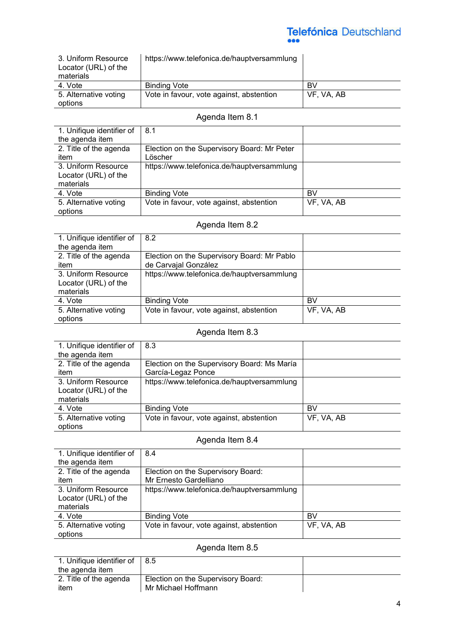| 3. Uniform Resource<br>Locator (URL) of the | https://www.telefonica.de/hauptversammlung |            |
|---------------------------------------------|--------------------------------------------|------------|
| materials                                   |                                            |            |
| 4. Vote                                     | <b>Binding Vote</b>                        | BV         |
| 5. Alternative voting                       | Vote in favour, vote against, abstention   | VF, VA, AB |
| options                                     |                                            |            |

### Agenda Item 8.1

| 1. Unifique identifier of<br>the agenda item             | 8.1                                                    |            |
|----------------------------------------------------------|--------------------------------------------------------|------------|
| 2. Title of the agenda<br>item                           | Election on the Supervisory Board: Mr Peter<br>Löscher |            |
| 3. Uniform Resource<br>Locator (URL) of the<br>materials | https://www.telefonica.de/hauptversammlung             |            |
| 4. Vote                                                  | <b>Binding Vote</b>                                    | BV         |
| 5. Alternative voting<br>options                         | Vote in favour, vote against, abstention               | VF, VA, AB |

### Agenda Item 8.2

| 1. Unifique identifier of | 8.2                                         |            |
|---------------------------|---------------------------------------------|------------|
| the agenda item           |                                             |            |
| 2. Title of the agenda    | Election on the Supervisory Board: Mr Pablo |            |
| item                      | de Carvajal González                        |            |
| 3. Uniform Resource       | https://www.telefonica.de/hauptversammlung  |            |
| Locator (URL) of the      |                                             |            |
| materials                 |                                             |            |
| 4. Vote                   | <b>Binding Vote</b>                         | BV         |
| 5. Alternative voting     | Vote in favour, vote against, abstention    | VF, VA, AB |
| options                   |                                             |            |

### Agenda Item 8.3

| 1. Unifique identifier of                                | 8.3                                         |            |
|----------------------------------------------------------|---------------------------------------------|------------|
| the agenda item                                          |                                             |            |
| 2. Title of the agenda                                   | Election on the Supervisory Board: Ms María |            |
| item                                                     | García-Legaz Ponce                          |            |
| 3. Uniform Resource<br>Locator (URL) of the<br>materials | https://www.telefonica.de/hauptversammlung  |            |
| 4. Vote                                                  | <b>Binding Vote</b>                         | BV         |
| 5. Alternative voting<br>options                         | Vote in favour, vote against, abstention    | VF, VA, AB |

#### Agenda Item 8.4

| 1. Unifique identifier of<br>the agenda item | 8.4                                        |            |
|----------------------------------------------|--------------------------------------------|------------|
| 2. Title of the agenda                       | Election on the Supervisory Board:         |            |
| item                                         | Mr Ernesto Gardelliano                     |            |
| 3. Uniform Resource                          | https://www.telefonica.de/hauptversammlung |            |
| Locator (URL) of the                         |                                            |            |
| materials                                    |                                            |            |
| 4. Vote                                      | <b>Binding Vote</b>                        | BV         |
| 5. Alternative voting                        | Vote in favour, vote against, abstention   | VF, VA, AB |
| options                                      |                                            |            |

#### Agenda Item 8.5

| 1. Unifique identifier of | 18.5                               |  |
|---------------------------|------------------------------------|--|
| the agenda item           |                                    |  |
| 2. Title of the agenda    | Election on the Supervisory Board: |  |
| item                      | Mr Michael Hoffmann                |  |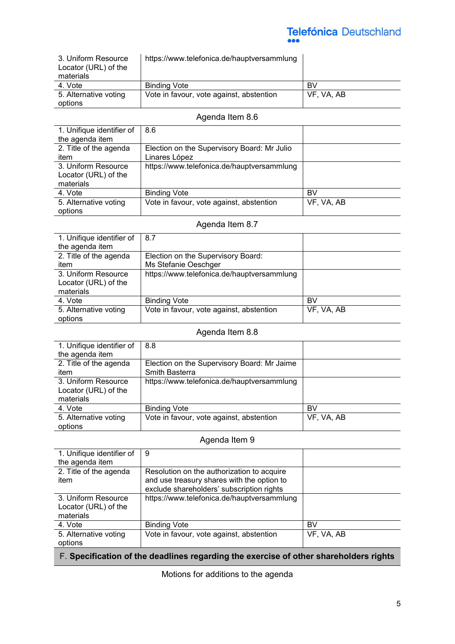| 3. Uniform Resource<br>Locator (URL) of the | https://www.telefonica.de/hauptversammlung |            |
|---------------------------------------------|--------------------------------------------|------------|
| materials                                   |                                            |            |
| 4. Vote                                     | <b>Binding Vote</b>                        | BV         |
| 5. Alternative voting                       | Vote in favour, vote against, abstention   | VF, VA, AB |
| options                                     |                                            |            |

#### Agenda Item 8.6

| 1. Unifique identifier of<br>the agenda item | 8.6                                         |            |
|----------------------------------------------|---------------------------------------------|------------|
| 2. Title of the agenda                       | Election on the Supervisory Board: Mr Julio |            |
| item                                         | Linares López                               |            |
| 3. Uniform Resource                          | https://www.telefonica.de/hauptversammlung  |            |
| Locator (URL) of the                         |                                             |            |
| materials                                    |                                             |            |
| 4. Vote                                      | <b>Binding Vote</b>                         | BV         |
| 5. Alternative voting                        | Vote in favour, vote against, abstention    | VF, VA, AB |
| options                                      |                                             |            |

#### Agenda Item 8.7

| 1. Unifique identifier of | 8.7                                        |            |
|---------------------------|--------------------------------------------|------------|
| the agenda item           |                                            |            |
| 2. Title of the agenda    | Election on the Supervisory Board:         |            |
| item                      | Ms Stefanie Oeschger                       |            |
| 3. Uniform Resource       | https://www.telefonica.de/hauptversammlung |            |
| Locator (URL) of the      |                                            |            |
| materials                 |                                            |            |
| 4. Vote                   | <b>Binding Vote</b>                        | BV         |
| 5. Alternative voting     | Vote in favour, vote against, abstention   | VF, VA, AB |
| options                   |                                            |            |

#### Agenda Item 8.8

| 1. Unifique identifier of | 8.8                                         |            |
|---------------------------|---------------------------------------------|------------|
| the agenda item           |                                             |            |
| 2. Title of the agenda    | Election on the Supervisory Board: Mr Jaime |            |
| item                      | Smith Basterra                              |            |
| 3. Uniform Resource       | https://www.telefonica.de/hauptversammlung  |            |
| Locator (URL) of the      |                                             |            |
| materials                 |                                             |            |
| 4. Vote                   | <b>Binding Vote</b>                         | BV         |
| 5. Alternative voting     | Vote in favour, vote against, abstention    | VF, VA, AB |
| options                   |                                             |            |

#### Agenda Item 9

| 1. Unifique identifier of | 9                                          |            |
|---------------------------|--------------------------------------------|------------|
| the agenda item           |                                            |            |
| 2. Title of the agenda    | Resolution on the authorization to acquire |            |
| item                      | and use treasury shares with the option to |            |
|                           | exclude shareholders' subscription rights  |            |
| 3. Uniform Resource       | https://www.telefonica.de/hauptversammlung |            |
| Locator (URL) of the      |                                            |            |
| materials                 |                                            |            |
| 4. Vote                   | <b>Binding Vote</b>                        | BV         |
| 5. Alternative voting     | Vote in favour, vote against, abstention   | VF, VA, AB |
| options                   |                                            |            |
|                           |                                            |            |

F. **Specification of the deadlines regarding the exercise of other shareholders rights**

Motions for additions to the agenda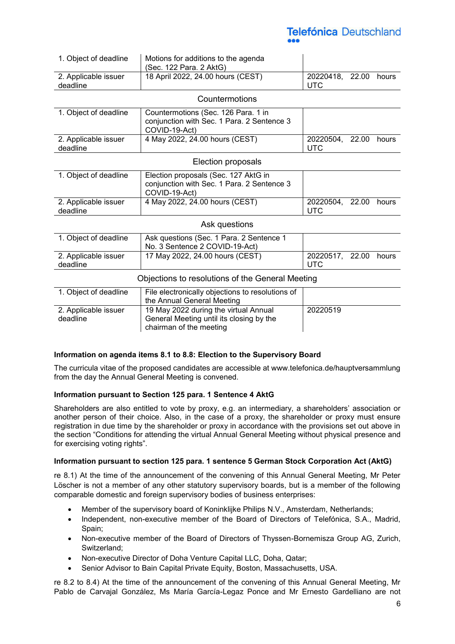| 1. Object of deadline                            | Motions for additions to the agenda<br>(Sec. 122 Para. 2 AktG)                                               |                               |       |       |
|--------------------------------------------------|--------------------------------------------------------------------------------------------------------------|-------------------------------|-------|-------|
| 2. Applicable issuer<br>deadline                 | 18 April 2022, 24.00 hours (CEST)                                                                            | 20220418, 22.00<br><b>UTC</b> |       | hours |
|                                                  | Countermotions                                                                                               |                               |       |       |
| 1. Object of deadline                            | Countermotions (Sec. 126 Para. 1 in<br>conjunction with Sec. 1 Para. 2 Sentence 3<br>COVID-19-Act)           |                               |       |       |
| 2. Applicable issuer<br>deadline                 | 4 May 2022, 24.00 hours (CEST)                                                                               | 20220504,<br><b>UTC</b>       | 22.00 | hours |
|                                                  | Election proposals                                                                                           |                               |       |       |
| 1. Object of deadline                            | Election proposals (Sec. 127 AktG in<br>conjunction with Sec. 1 Para. 2 Sentence 3<br>COVID-19-Act)          |                               |       |       |
| 2. Applicable issuer<br>deadline                 | 4 May 2022, 24.00 hours (CEST)                                                                               | 20220504,<br><b>UTC</b>       | 22.00 | hours |
|                                                  | Ask questions                                                                                                |                               |       |       |
| 1. Object of deadline                            | Ask questions (Sec. 1 Para. 2 Sentence 1<br>No. 3 Sentence 2 COVID-19-Act)                                   |                               |       |       |
| 2. Applicable issuer<br>deadline                 | 17 May 2022, 24.00 hours (CEST)                                                                              | 20220517,<br><b>UTC</b>       | 22.00 | hours |
| Objections to resolutions of the General Meeting |                                                                                                              |                               |       |       |
| 1. Object of deadline                            | File electronically objections to resolutions of<br>the Annual General Meeting                               |                               |       |       |
| 2. Applicable issuer<br>deadline                 | 19 May 2022 during the virtual Annual<br>General Meeting until its closing by the<br>chairman of the meeting | 20220519                      |       |       |

#### **Information on agenda items 8.1 to 8.8: Election to the Supervisory Board**

The curricula vitae of the proposed candidates are accessible at www.telefonica.de/hauptversammlung from the day the Annual General Meeting is convened.

#### **Information pursuant to Section 125 para. 1 Sentence 4 AktG**

Shareholders are also entitled to vote by proxy, e.g. an intermediary, a shareholders' association or another person of their choice. Also, in the case of a proxy, the shareholder or proxy must ensure registration in due time by the shareholder or proxy in accordance with the provisions set out above in the section "Conditions for attending the virtual Annual General Meeting without physical presence and for exercising voting rights".

#### **Information pursuant to section 125 para. 1 sentence 5 German Stock Corporation Act (AktG)**

re 8.1) At the time of the announcement of the convening of this Annual General Meeting, Mr Peter Löscher is not a member of any other statutory supervisory boards, but is a member of the following comparable domestic and foreign supervisory bodies of business enterprises:

- Member of the supervisory board of Koninklijke Philips N.V., Amsterdam, Netherlands;
- Independent, non-executive member of the Board of Directors of Telefónica, S.A., Madrid, Spain;
- Non-executive member of the Board of Directors of Thyssen-Bornemisza Group AG, Zurich, Switzerland;
- Non-executive Director of Doha Venture Capital LLC, Doha, Qatar;
- Senior Advisor to Bain Capital Private Equity, Boston, Massachusetts, USA.

re 8.2 to 8.4) At the time of the announcement of the convening of this Annual General Meeting, Mr Pablo de Carvajal González, Ms María García-Legaz Ponce and Mr Ernesto Gardelliano are not